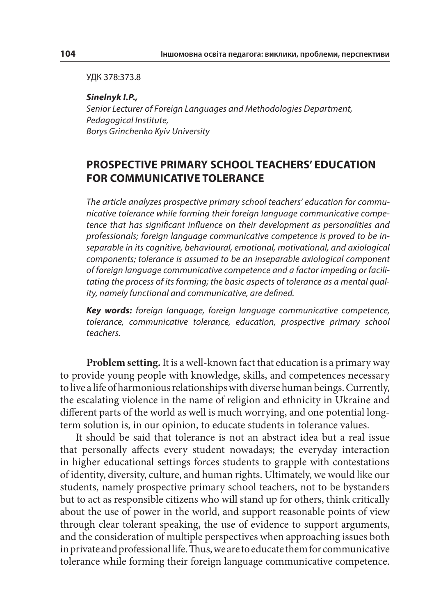УДК 378:373.8

**Sinelnyk I.P.,** Senior Lecturer of Foreign Languages and Methodologies Department, Pedagogical Institute, Borys Grinchenko Kyiv University

## **PROSPECTIVE PRIMARY SCHOOL TEACHERS' EDUCATION FOR COMMUNICATIVE TOLERANCE**

The article analyzes prospective primary school teachers' education for communicative tolerance while forming their foreign language communicative competence that has significant influence on their development as personalities and professionals; foreign language communicative competence is proved to be inseparable in its cognitive, behavioural, emotional, motivational, and axiological components; tolerance is assumed to be an inseparable axiological component of foreign language communicative competence and a factor impeding or facilitating the process of its forming; the basic aspects of tolerance as a mental quality, namely functional and communicative, are defined.

**Key words:** foreign language, foreign language communicative competence, tolerance, communicative tolerance, education, prospective primary school teachers.

**Problem setting.** It is a well-known fact that education is a primary way to provide young people with knowledge, skills, and competences necessary to live a life of harmonious relationships with diverse human beings. Currently, the escalating violence in the name of religion and ethnicity in Ukraine and different parts of the world as well is much worrying, and one potential longterm solution is, in our opinion, to educate students in tolerance values.

It should be said that tolerance is not an abstract idea but a real issue that personally affects every student nowadays; the everyday interaction in higher educational settings forces students to grapple with contestations of identity, diversity, culture, and human rights. Ultimately, we would like our students, namely prospective primary school teachers, not to be bystanders but to act as responsible citizens who will stand up for others, think critically about the use of power in the world, and support reasonable points of view through clear tolerant speaking, the use of evidence to support arguments, and the consideration of multiple perspectives when approaching issues both in private and professional life. Thus, we are to educate them for communicative tolerance while forming their foreign language communicative competence.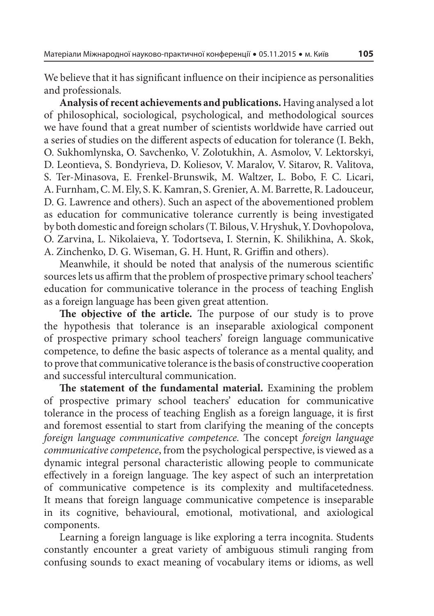We believe that it has significant influence on their incipience as personalities and professionals.

**Analysis of recent achievements and publications.** Having analysed a lot of philosophical, sociological, psychological, and methodological sources we have found that a great number of scientists worldwide have carried out a series of studies on the different aspects of education for tolerance (I. Bekh, O. Sukhomlynska, O. Savchenko, V. Zolotukhin, A. Asmolov, V. Lektorskyi, D. Leontieva, S. Bondyrieva, D. Koliesov, V. Maralov, V. Sitarov, R. Valitova, S. Ter-Minasova, E. Frenkel-Brunswik, M. Waltzer, L. Bobo, F. C. Licari, A. Furnham, C. M. Ely, S. K. Kamran, S. Grenier, A. M. Barrette, R. Ladouceur, D. G. Lawrence and others). Such an aspect of the abovementioned problem as education for communicative tolerance currently is being investigated by both domestic and foreign scholars (T. Bilous, V. Hryshuk, Y. Dovhopolova, O. Zarvina, L. Nikolaieva, Y. Todortseva, I. Sternin, K. Shilikhina, A. Skok, A. Zinchenko, D. G. Wiseman, G. H. Hunt, R. Griffin and others).

Meanwhile, it should be noted that analysis of the numerous scientific sources lets us affirm that the problem of prospective primary school teachers' education for communicative tolerance in the process of teaching English as a foreign language has been given great attention.

The objective of the article. The purpose of our study is to prove the hypothesis that tolerance is an inseparable axiological component of prospective primary school teachers' foreign language communicative competence, to define the basic aspects of tolerance as a mental quality, and to prove that communicative tolerance is the basis of constructive cooperation and successful intercultural communication.

The statement of the fundamental material. Examining the problem of prospective primary school teachers' education for communicative tolerance in the process of teaching English as a foreign language, it is first and foremost essential to start from clarifying the meaning of the concepts foreign language communicative competence. The concept foreign language communicative competence, from the psychological perspective, is viewed as a dynamic integral personal characteristic allowing people to communicate effectively in a foreign language. The key aspect of such an interpretation of communicative competence is its complexity and multifacetedness. It means that foreign language communicative competence is inseparable in its cognitive, behavioural, emotional, motivational, and axiological components.

Learning a foreign language is like exploring a terra incognita. Students constantly encounter a great variety of ambiguous stimuli ranging from confusing sounds to exact meaning of vocabulary items or idioms, as well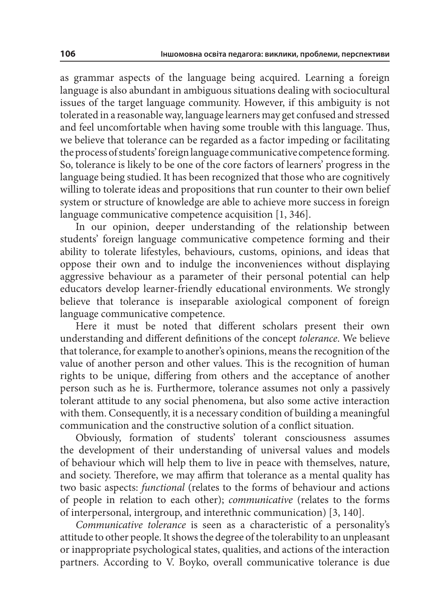as grammar aspects of the language being acquired. Learning a foreign language is also abundant in ambiguous situations dealing with sociocultural issues of the target language community. However, if this ambiguity is not tolerated in a reasonable way, language learners may get confused and stressed and feel uncomfortable when having some trouble with this language. Thus, we believe that tolerance can be regarded as a factor impeding or facilitating the process of students' foreign language communicative competence forming. So, tolerance is likely to be one of the core factors of learners' progress in the language being studied. It has been recognized that those who are cognitively willing to tolerate ideas and propositions that run counter to their own belief system or structure of knowledge are able to achieve more success in foreign language communicative competence acquisition [1, 346].

In our opinion, deeper understanding of the relationship between students' foreign language communicative competence forming and their ability to tolerate lifestyles, behaviours, customs, opinions, and ideas that oppose their own and to indulge the inconveniences without displaying aggressive behaviour as a parameter of their personal potential can help educators develop learner-friendly educational environments. We strongly believe that tolerance is inseparable axiological component of foreign language communicative competence.

Here it must be noted that different scholars present their own understanding and different definitions of the concept tolerance. We believe that tolerance, for example to another's opinions, means the recognition of the value of another person and other values. This is the recognition of human rights to be unique, differing from others and the acceptance of another person such as he is. Furthermore, tolerance assumes not only a passively tolerant attitude to any social phenomena, but also some active interaction with them. Consequently, it is a necessary condition of building a meaningful communication and the constructive solution of a conflict situation.

Obviously, formation of students' tolerant consciousness assumes the development of their understanding of universal values and models of behaviour which will help them to live in peace with themselves, nature, and society. Therefore, we may affirm that tolerance as a mental quality has two basic aspects: functional (relates to the forms of behaviour and actions of people in relation to each other); communicative (relates to the forms of interpersonal, intergroup, and interethnic communication) [3, 140].

Communicative tolerance is seen as a characteristic of a personality's attitude to other people. It shows the degree of the tolerability to an unpleasant or inappropriate psychological states, qualities, and actions of the interaction partners. According to V. Boyko, overall communicative tolerance is due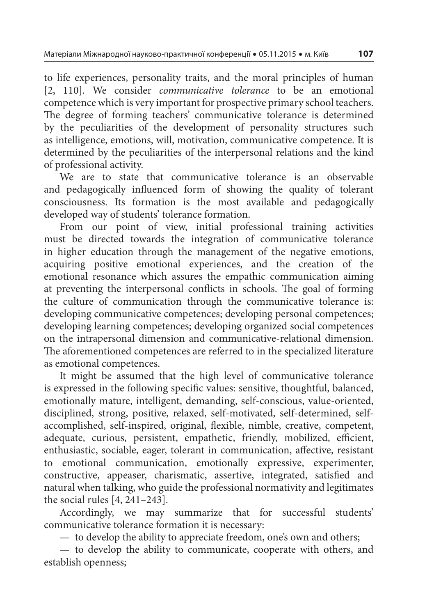to life experiences, personality traits, and the moral principles of human [2, 110]. We consider *communicative tolerance* to be an emotional competence which is very important for prospective primary school teachers. The degree of forming teachers' communicative tolerance is determined by the peculiarities of the development of personality structures such as intelligence, emotions, will, motivation, communicative competence. It is determined by the peculiarities of the interpersonal relations and the kind of professional activity.

We are to state that communicative tolerance is an observable and pedagogically influenced form of showing the quality of tolerant consciousness. Its formation is the most available and pedagogically developed way of students' tolerance formation.

From our point of view, initial professional training activities must be directed towards the integration of communicative tolerance in higher education through the management of the negative emotions, acquiring positive emotional experiences, and the creation of the emotional resonance which assures the empathic communication aiming at preventing the interpersonal conflicts in schools. The goal of forming the culture of communication through the communicative tolerance is: developing communicative competences; developing personal competences; developing learning competences; developing organized social competences on the intrapersonal dimension and communicative-relational dimension. The aforementioned competences are referred to in the specialized literature as emotional competences.

It might be assumed that the high level of communicative tolerance is expressed in the following specific values: sensitive, thoughtful, balanced, emotionally mature, intelligent, demanding, self-conscious, value-oriented, disciplined, strong, positive, relaxed, self-motivated, self-determined, selfaccomplished, self-inspired, original, flexible, nimble, creative, competent, adequate, curious, persistent, empathetic, friendly, mobilized, efficient, enthusiastic, sociable, eager, tolerant in communication, affective, resistant to emotional communication, emotionally expressive, experimenter, constructive, appeaser, charismatic, assertive, integrated, satisfied and natural when talking, who guide the professional normativity and legitimates the social rules [4, 241–243].

Accordingly, we may summarize that for successful students' communicative tolerance formation it is necessary:

— to develop the ability to appreciate freedom, one's own and others;

— to develop the ability to communicate, cooperate with others, and establish openness;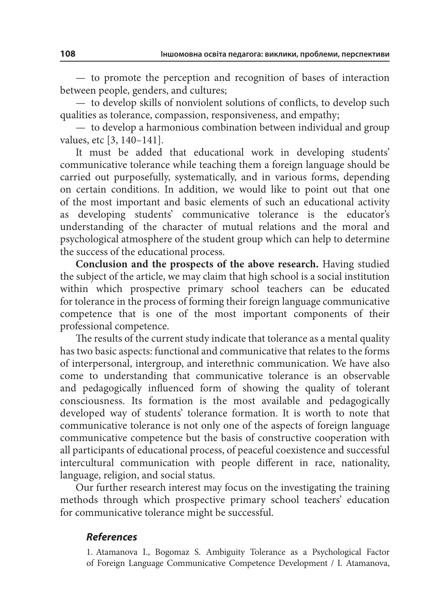— to promote the perception and recognition of bases of interaction between people, genders, and cultures;

 $-$  to develop skills of nonviolent solutions of conflicts, to develop such qualities as tolerance, compassion, responsiveness, and empathy;

— to develop a harmonious combination between individual and group values, etc [3, 140–141].

It must be added that educational work in developing students' communicative tolerance while teaching them a foreign language should be carried out purposefully, systematically, and in various forms, depending on certain conditions. In addition, we would like to point out that one of the most important and basic elements of such an educational activity as developing students' communicative tolerance is the educator's understanding of the character of mutual relations and the moral and psychological atmosphere of the student group which can help to determine the success of the educational process.

**Conclusion and the prospects of the above research.** Having studied the subject of the article, we may claim that high school is a social institution within which prospective primary school teachers can be educated for tolerance in the process of forming their foreign language communicative competence that is one of the most important components of their professional competence.

The results of the current study indicate that tolerance as a mental quality has two basic aspects: functional and communicative that relates to the forms of interpersonal, intergroup, and interethnic communication. We have also come to understanding that communicative tolerance is an observable and pedagogically influenced form of showing the quality of tolerant consciousness. Its formation is the most available and pedagogically developed way of students' tolerance formation. It is worth to note that communicative tolerance is not only one of the aspects of foreign language communicative competence but the basis of constructive cooperation with all participants of educational process, of peaceful coexistence and successful intercultural communication with people different in race, nationality, language, religion, and social status.

Our further research interest may focus on the investigating the training methods through which prospective primary school teachers' education for communicative tolerance might be successful.

## **References**

1. Atamanova I., Bogomaz S. Ambiguity Tolerance as a Psychological Factor of Foreign Language Communicative Competence Development / I. Atamanova,